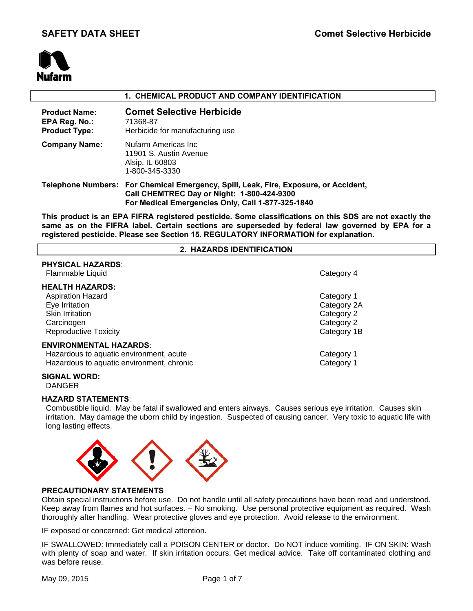

# **1. CHEMICAL PRODUCT AND COMPANY IDENTIFICATION**

| <b>Product Name:</b><br>EPA Reg. No.:<br><b>Product Type:</b> | <b>Comet Selective Herbicide</b><br>71368-87<br>Herbicide for manufacturing use                                                                                                         |
|---------------------------------------------------------------|-----------------------------------------------------------------------------------------------------------------------------------------------------------------------------------------|
| <b>Company Name:</b>                                          | Nufarm Americas Inc<br>11901 S. Austin Avenue<br>Alsip, IL 60803<br>1-800-345-3330                                                                                                      |
|                                                               | Telephone Numbers: For Chemical Emergency, Spill, Leak, Fire, Exposure, or Accident,<br>Call CHEMTREC Day or Night: 1-800-424-9300<br>For Medical Emergencies Only, Call 1-877-325-1840 |

**This product is an EPA FIFRA registered pesticide. Some classifications on this SDS are not exactly the same as on the FIFRA label. Certain sections are superseded by federal law governed by EPA for a registered pesticide. Please see Section 15. REGULATORY INFORMATION for explanation.**

#### **2. HAZARDS IDENTIFICATION**

| PHYSICAL HAZARDS:<br>Flammable Liquid                                                                                          | Category 4                                                           |
|--------------------------------------------------------------------------------------------------------------------------------|----------------------------------------------------------------------|
| <b>HEALTH HAZARDS:</b><br><b>Aspiration Hazard</b><br>Eye Irritation<br>Skin Irritation<br>Carcinogen<br>Reproductive Toxicity | Category 1<br>Category 2A<br>Category 2<br>Category 2<br>Category 1B |
| <b>ENVIRONMENTAL HAZARDS:</b><br>Hazardous to aquatic environment, acute<br>Hazardous to aquatic environment, chronic          | Category 1<br>Category 1                                             |
|                                                                                                                                |                                                                      |

### **SIGNAL WORD:**

**PHYSICAL HAZARDS**:

DANGER

#### **HAZARD STATEMENTS**:

 Combustible liquid. May be fatal if swallowed and enters airways. Causes serious eye irritation. Causes skin irritation. May damage the uborn child by ingestion. Suspected of causing cancer. Very toxic to aquatic life with long lasting effects.



### **PRECAUTIONARY STATEMENTS**

Obtain special instructions before use. Do not handle until all safety precautions have been read and understood. Keep away from flames and hot surfaces. – No smoking. Use personal protective equipment as required. Wash thoroughly after handling. Wear protective gloves and eye protection. Avoid release to the environment.

IF exposed or concerned: Get medical attention.

IF SWALLOWED: Immediately call a POISON CENTER or doctor. Do NOT induce vomiting. IF ON SKIN: Wash with plenty of soap and water. If skin irritation occurs: Get medical advice. Take off contaminated clothing and was before reuse.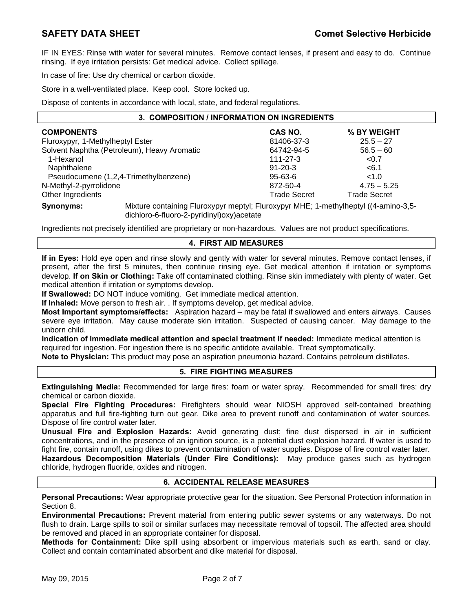IF IN EYES: Rinse with water for several minutes. Remove contact lenses, if present and easy to do. Continue rinsing. If eye irritation persists: Get medical advice. Collect spillage.

In case of fire: Use dry chemical or carbon dioxide.

Store in a well-ventilated place. Keep cool. Store locked up.

Dispose of contents in accordance with local, state, and federal regulations.

| 3. COMPOSITION / INFORMATION ON INGREDIENTS |                     |                     |  |  |
|---------------------------------------------|---------------------|---------------------|--|--|
| <b>COMPONENTS</b>                           | CAS NO.             | % BY WEIGHT         |  |  |
| Fluroxypyr, 1-Methylheptyl Ester            | 81406-37-3          | $25.5 - 27$         |  |  |
| Solvent Naphtha (Petroleum), Heavy Aromatic | 64742-94-5          | $56.5 - 60$         |  |  |
| 1-Hexanol                                   | $111 - 27 - 3$      | < 0.7               |  |  |
| Naphthalene                                 | $91 - 20 - 3$       | < 6.1               |  |  |
| Pseudocumene (1,2,4-Trimethylbenzene)       | 95-63-6             | < 1.0               |  |  |
| N-Methyl-2-pyrrolidone                      | 872-50-4            | $4.75 - 5.25$       |  |  |
| Other Ingredients                           | <b>Trade Secret</b> | <b>Trade Secret</b> |  |  |
|                                             |                     |                     |  |  |

**Synonyms:** Mixture containing Fluroxypyr meptyl; Fluroxypyr MHE; 1-methylheptyl ((4-amino-3,5 dichloro-6-fluoro-2-pyridinyl)oxy)acetate

Ingredients not precisely identified are proprietary or non-hazardous. Values are not product specifications.

# **4. FIRST AID MEASURES**

**If in Eyes:** Hold eye open and rinse slowly and gently with water for several minutes. Remove contact lenses, if present, after the first 5 minutes, then continue rinsing eye. Get medical attention if irritation or symptoms develop. **If on Skin or Clothing:** Take off contaminated clothing. Rinse skin immediately with plenty of water. Get medical attention if irritation or symptoms develop.

**If Swallowed:** DO NOT induce vomiting. Get immediate medical attention.

**If Inhaled:** Move person to fresh air. . If symptoms develop, get medical advice.

**Most Important symptoms/effects:** Aspiration hazard – may be fatal if swallowed and enters airways. Causes severe eye irritation. May cause moderate skin irritation. Suspected of causing cancer. May damage to the unborn child.

**Indication of Immediate medical attention and special treatment if needed:** Immediate medical attention is required for ingestion. For ingestion there is no specific antidote available. Treat symptomatically.

**Note to Physician:** This product may pose an aspiration pneumonia hazard. Contains petroleum distillates.

# **5. FIRE FIGHTING MEASURES**

**Extinguishing Media:** Recommended for large fires: foam or water spray. Recommended for small fires: dry chemical or carbon dioxide.

**Special Fire Fighting Procedures:** Firefighters should wear NIOSH approved self-contained breathing apparatus and full fire-fighting turn out gear. Dike area to prevent runoff and contamination of water sources. Dispose of fire control water later.

**Unusual Fire and Explosion Hazards:** Avoid generating dust; fine dust dispersed in air in sufficient concentrations, and in the presence of an ignition source, is a potential dust explosion hazard. If water is used to fight fire, contain runoff, using dikes to prevent contamination of water supplies. Dispose of fire control water later. **Hazardous Decomposition Materials (Under Fire Conditions):** May produce gases such as hydrogen chloride, hydrogen fluoride, oxides and nitrogen.

### **6. ACCIDENTAL RELEASE MEASURES**

**Personal Precautions:** Wear appropriate protective gear for the situation. See Personal Protection information in Section 8.

**Environmental Precautions:** Prevent material from entering public sewer systems or any waterways. Do not flush to drain. Large spills to soil or similar surfaces may necessitate removal of topsoil. The affected area should be removed and placed in an appropriate container for disposal.

**Methods for Containment:** Dike spill using absorbent or impervious materials such as earth, sand or clay. Collect and contain contaminated absorbent and dike material for disposal.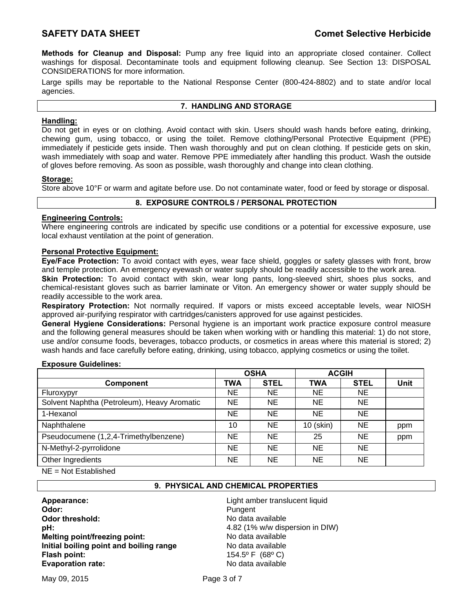**Methods for Cleanup and Disposal:** Pump any free liquid into an appropriate closed container. Collect washings for disposal. Decontaminate tools and equipment following cleanup. See Section 13: DISPOSAL CONSIDERATIONS for more information.

Large spills may be reportable to the National Response Center (800-424-8802) and to state and/or local agencies.

# **7. HANDLING AND STORAGE**

# **Handling:**

Do not get in eyes or on clothing. Avoid contact with skin. Users should wash hands before eating, drinking, chewing gum, using tobacco, or using the toilet. Remove clothing/Personal Protective Equipment (PPE) immediately if pesticide gets inside. Then wash thoroughly and put on clean clothing. If pesticide gets on skin, wash immediately with soap and water. Remove PPE immediately after handling this product. Wash the outside of gloves before removing. As soon as possible, wash thoroughly and change into clean clothing.

### **Storage:**

Store above 10°F or warm and agitate before use. Do not contaminate water, food or feed by storage or disposal.

# **8. EXPOSURE CONTROLS / PERSONAL PROTECTION**

# **Engineering Controls:**

Where engineering controls are indicated by specific use conditions or a potential for excessive exposure, use local exhaust ventilation at the point of generation.

### **Personal Protective Equipment:**

**Eye/Face Protection:** To avoid contact with eyes, wear face shield, goggles or safety glasses with front, brow and temple protection. An emergency eyewash or water supply should be readily accessible to the work area.

**Skin Protection:** To avoid contact with skin, wear long pants, long-sleeved shirt, shoes plus socks, and chemical-resistant gloves such as barrier laminate or Viton. An emergency shower or water supply should be readily accessible to the work area.

**Respiratory Protection:** Not normally required. If vapors or mists exceed acceptable levels, wear NIOSH approved air-purifying respirator with cartridges/canisters approved for use against pesticides.

**General Hygiene Considerations:** Personal hygiene is an important work practice exposure control measure and the following general measures should be taken when working with or handling this material: 1) do not store, use and/or consume foods, beverages, tobacco products, or cosmetics in areas where this material is stored; 2) wash hands and face carefully before eating, drinking, using tobacco, applying cosmetics or using the toilet.

### **Exposure Guidelines:**

|                                             | <b>OSHA</b> |             | <b>ACGIH</b> |             |             |
|---------------------------------------------|-------------|-------------|--------------|-------------|-------------|
| Component                                   | <b>TWA</b>  | <b>STEL</b> | <b>TWA</b>   | <b>STEL</b> | <b>Unit</b> |
| Fluroxypyr                                  | <b>NE</b>   | NE.         | <b>NE</b>    | <b>NE</b>   |             |
| Solvent Naphtha (Petroleum), Heavy Aromatic | NE.         | NE.         | <b>NE</b>    | <b>NE</b>   |             |
| 1-Hexanol                                   | NE.         | NE.         | NE.          | <b>NE</b>   |             |
| Naphthalene                                 | 10          | NE.         | 10 (skin)    | <b>NE</b>   | ppm         |
| Pseudocumene (1,2,4-Trimethylbenzene)       | NE.         | NE.         | 25           | <b>NE</b>   | ppm         |
| N-Methyl-2-pyrrolidone                      | NE.         | NE.         | <b>NE</b>    | <b>NE</b>   |             |
| Other Ingredients                           | <b>NE</b>   | NE.         | NE.          | <b>NE</b>   |             |

 $NE = Not$  Established

# **9. PHYSICAL AND CHEMICAL PROPERTIES**

**Appearance:** Light amber translucent liquid **Odor:** Pungent **Odor threshold: No data available No data available pH:** 4.82 (1% w/w dispersion in DIW) **Melting point/freezing point:** No data available **Initial boiling point and boiling range** No data available **Flash point:** 154.5º F (68º C) **Evaporation rate: No data available No data available**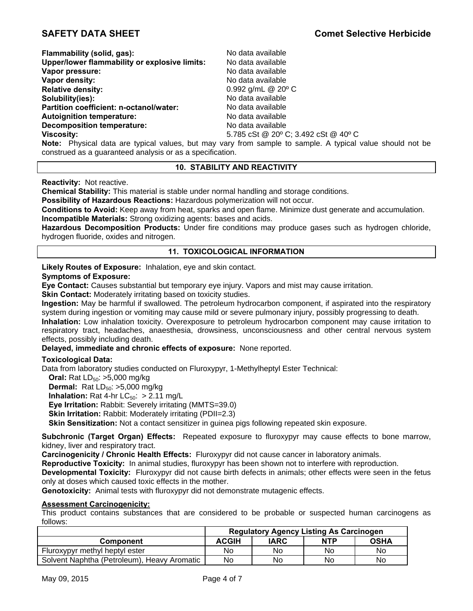| Flammability (solid, gas):                    | No data available                                                                                         |
|-----------------------------------------------|-----------------------------------------------------------------------------------------------------------|
| Upper/lower flammability or explosive limits: | No data available                                                                                         |
| Vapor pressure:                               | No data available                                                                                         |
| Vapor density:                                | No data available                                                                                         |
| <b>Relative density:</b>                      | 0.992 g/mL $@$ 20 $°C$                                                                                    |
| Solubility(ies):                              | No data available                                                                                         |
| Partition coefficient: n-octanol/water:       | No data available                                                                                         |
| <b>Autoignition temperature:</b>              | No data available                                                                                         |
| <b>Decomposition temperature:</b>             | No data available                                                                                         |
| <b>Viscosity:</b>                             | 5.785 cSt @ 20° C; 3.492 cSt @ 40° C                                                                      |
|                                               | Note: Physical data are typical values, but may vary from sample to sample. A typical value should not be |

construed as a guaranteed analysis or as a specification.

# **10. STABILITY AND REACTIVITY**

**Reactivity:** Not reactive.

**Chemical Stability:** This material is stable under normal handling and storage conditions.

**Possibility of Hazardous Reactions:** Hazardous polymerization will not occur.

**Conditions to Avoid:** Keep away from heat, sparks and open flame. Minimize dust generate and accumulation. **Incompatible Materials:** Strong oxidizing agents: bases and acids.

**Hazardous Decomposition Products:** Under fire conditions may produce gases such as hydrogen chloride, hydrogen fluoride, oxides and nitrogen.

# **11. TOXICOLOGICAL INFORMATION**

**Likely Routes of Exposure:** Inhalation, eye and skin contact.

#### **Symptoms of Exposure:**

**Eye Contact:** Causes substantial but temporary eye injury. Vapors and mist may cause irritation.

**Skin Contact:** Moderately irritating based on toxicity studies.

**Ingestion:** May be harmful if swallowed. The petroleum hydrocarbon component, if aspirated into the respiratory system during ingestion or vomiting may cause mild or severe pulmonary injury, possibly progressing to death.

**Inhalation:** Low inhalation toxicity. Overexposure to petroleum hydrocarbon component may cause irritation to respiratory tract, headaches, anaesthesia, drowsiness, unconsciousness and other central nervous system effects, possibly including death.

**Delayed, immediate and chronic effects of exposure:** None reported.

### **Toxicological Data:**

Data from laboratory studies conducted on Fluroxypyr, 1-Methylheptyl Ester Technical:

**Oral:** Rat LD<sub>50</sub>: >5,000 mg/kg

**Dermal:** Rat LD<sub>50</sub>: >5,000 mg/kg

**Inhalation:** Rat 4-hr  $LC_{50}$ : > 2.11 mg/L

**Eye Irritation:** Rabbit: Severely irritating (MMTS=39.0)

**Skin Irritation:** Rabbit: Moderately irritating (PDII=2.3)

**Skin Sensitization:** Not a contact sensitizer in guinea pigs following repeated skin exposure.

**Subchronic (Target Organ) Effects:** Repeated exposure to fluroxypyr may cause effects to bone marrow, kidney, liver and respiratory tract.

**Carcinogenicity / Chronic Health Effects:** Fluroxypyr did not cause cancer in laboratory animals.

**Reproductive Toxicity:** In animal studies, fluroxypyr has been shown not to interfere with reproduction.

**Developmental Toxicity:** Fluroxypyr did not cause birth defects in animals; other effects were seen in the fetus only at doses which caused toxic effects in the mother.

**Genotoxicity:** Animal tests with fluroxypyr did not demonstrate mutagenic effects.

### **Assessment Carcinogenicity:**

This product contains substances that are considered to be probable or suspected human carcinogens as follows:

|                                             | <b>Regulatory Agency Listing As Carcinogen</b> |      |            |             |
|---------------------------------------------|------------------------------------------------|------|------------|-------------|
| Component                                   | <b>ACGIH</b>                                   | IARC | <b>NTP</b> | <b>OSHA</b> |
| Fluroxypyr methyl heptyl ester              | No                                             | No   | No         | No          |
| Solvent Naphtha (Petroleum), Heavy Aromatic | No                                             | No   | No         | No          |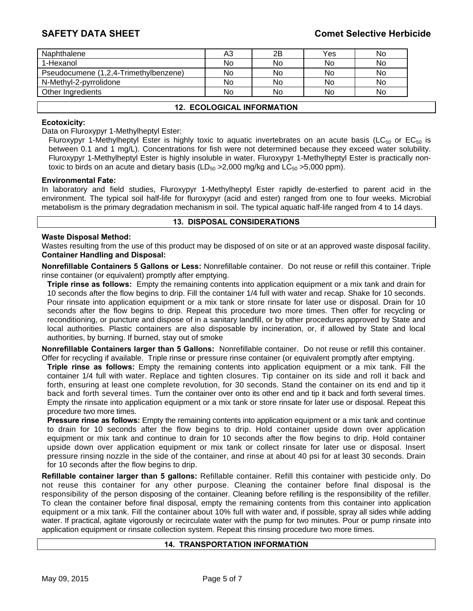# **SAFETY DATA SHEET Comet Selective Herbicide**

| Naphthalene                           | A3 | 2B | Yes | No |
|---------------------------------------|----|----|-----|----|
| 1-Hexanol                             | No | No | No  | No |
| Pseudocumene (1,2,4-Trimethylbenzene) | No | No | No  | No |
| N-Methyl-2-pyrrolidone                | No | No | No  | No |
| Other Ingredients                     | No | No | No  | No |
|                                       |    |    |     |    |

### **12. ECOLOGICAL INFORMATION**

### **Ecotoxicity:**

Data on Fluroxypyr 1-Methylheptyl Ester:

Fluroxypyr 1-Methylheptyl Ester is highly toxic to aquatic invertebrates on an acute basis (LC<sub>50</sub> or EC<sub>50</sub> is between 0.1 and 1 mg/L). Concentrations for fish were not determined because they exceed water solubility. Fluroxypyr 1-Methylheptyl Ester is highly insoluble in water. Fluroxypyr 1-Methylheptyl Ester is practically nontoxic to birds on an acute and dietary basis  $(LD_{50} > 2,000 \text{ mg/kg}$  and  $LC_{50} > 5,000 \text{ ppm})$ .

#### **Environmental Fate:**

In laboratory and field studies, Fluroxypyr 1-Methylheptyl Ester rapidly de-esterfied to parent acid in the environment. The typical soil half-life for fluroxypyr (acid and ester) ranged from one to four weeks. Microbial metabolism is the primary degradation mechanism in soil. The typical aquatic half-life ranged from 4 to 14 days.

### **13. DISPOSAL CONSIDERATIONS**

#### **Waste Disposal Method:**

Wastes resulting from the use of this product may be disposed of on site or at an approved waste disposal facility. **Container Handling and Disposal:** 

**Nonrefillable Containers 5 Gallons or Less:** Nonrefillable container. Do not reuse or refill this container. Triple rinse container (or equivalent) promptly after emptying.

**Triple rinse as follows:** Empty the remaining contents into application equipment or a mix tank and drain for 10 seconds after the flow begins to drip. Fill the container 1/4 full with water and recap. Shake for 10 seconds. Pour rinsate into application equipment or a mix tank or store rinsate for later use or disposal. Drain for 10 seconds after the flow begins to drip. Repeat this procedure two more times. Then offer for recycling or reconditioning, or puncture and dispose of in a sanitary landfill, or by other procedures approved by State and local authorities. Plastic containers are also disposable by incineration, or, if allowed by State and local authorities, by burning. If burned, stay out of smoke

**Nonrefillable Containers larger than 5 Gallons:** Nonrefillable container. Do not reuse or refill this container. Offer for recycling if available. Triple rinse or pressure rinse container (or equivalent promptly after emptying.

**Triple rinse as follows:** Empty the remaining contents into application equipment or a mix tank. Fill the container 1/4 full with water. Replace and tighten closures. Tip container on its side and roll it back and forth, ensuring at least one complete revolution, for 30 seconds. Stand the container on its end and tip it back and forth several times. Turn the container over onto its other end and tip it back and forth several times. Empty the rinsate into application equipment or a mix tank or store rinsate for later use or disposal. Repeat this procedure two more times.

**Pressure rinse as follows:** Empty the remaining contents into application equipment or a mix tank and continue to drain for 10 seconds after the flow begins to drip. Hold container upside down over application equipment or mix tank and continue to drain for 10 seconds after the flow begins to drip. Hold container upside down over application equipment or mix tank or collect rinsate for later use or disposal. Insert pressure rinsing nozzle in the side of the container, and rinse at about 40 psi for at least 30 seconds. Drain for 10 seconds after the flow begins to drip.

**Refillable container larger than 5 gallons:** Refillable container. Refill this container with pesticide only. Do not reuse this container for any other purpose. Cleaning the container before final disposal is the responsibility of the person disposing of the container. Cleaning before refilling is the responsibility of the refiller. To clean the container before final disposal, empty the remaining contents from this container into application equipment or a mix tank. Fill the container about 10% full with water and, if possible, spray all sides while adding water. If practical, agitate vigorously or recirculate water with the pump for two minutes. Pour or pump rinsate into application equipment or rinsate collection system. Repeat this rinsing procedure two more times.

## **14. TRANSPORTATION INFORMATION**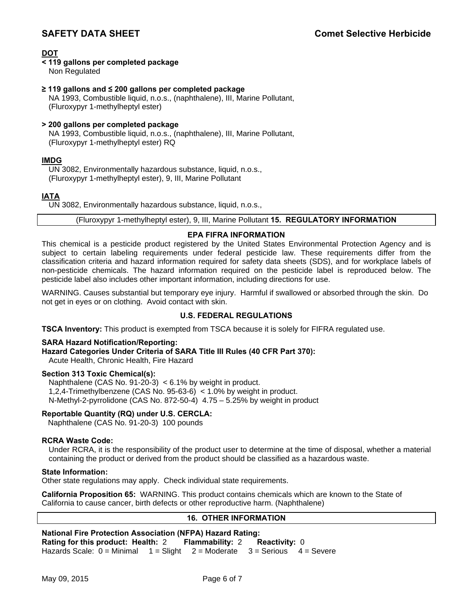**DOT**

# **< 119 gallons per completed package**

Non Regulated

# **≥ 119 gallons and ≤ 200 gallons per completed package**

NA 1993, Combustible liquid, n.o.s., (naphthalene), III, Marine Pollutant, (Fluroxypyr 1-methylheptyl ester)

# **> 200 gallons per completed package**  NA 1993, Combustible liquid, n.o.s., (naphthalene), III, Marine Pollutant, (Fluroxypyr 1-methylheptyl ester) RQ

# **IMDG**

UN 3082, Environmentally hazardous substance, liquid, n.o.s., (Fluroxypyr 1-methylheptyl ester), 9, III, Marine Pollutant

# **IATA**

UN 3082, Environmentally hazardous substance, liquid, n.o.s.,

### (Fluroxypyr 1-methylheptyl ester), 9, III, Marine Pollutant **15. REGULATORY INFORMATION**

# **EPA FIFRA INFORMATION**

This chemical is a pesticide product registered by the United States Environmental Protection Agency and is subject to certain labeling requirements under federal pesticide law. These requirements differ from the classification criteria and hazard information required for safety data sheets (SDS), and for workplace labels of non-pesticide chemicals. The hazard information required on the pesticide label is reproduced below. The pesticide label also includes other important information, including directions for use.

WARNING. Causes substantial but temporary eye injury. Harmful if swallowed or absorbed through the skin. Do not get in eyes or on clothing. Avoid contact with skin.

# **U.S. FEDERAL REGULATIONS**

**TSCA Inventory:** This product is exempted from TSCA because it is solely for FIFRA regulated use.

### **SARA Hazard Notification/Reporting:**

**Hazard Categories Under Criteria of SARA Title III Rules (40 CFR Part 370):**

Acute Health, Chronic Health, Fire Hazard

### **Section 313 Toxic Chemical(s):**

Naphthalene (CAS No. 91-20-3) < 6.1% by weight in product. 1,2,4-Trimethylbenzene (CAS No. 95-63-6) < 1.0% by weight in product. N-Methyl-2-pyrrolidone (CAS No. 872-50-4) 4.75 – 5.25% by weight in product

### **Reportable Quantity (RQ) under U.S. CERCLA:**

Naphthalene (CAS No. 91-20-3) 100 pounds

### **RCRA Waste Code:**

Under RCRA, it is the responsibility of the product user to determine at the time of disposal, whether a material containing the product or derived from the product should be classified as a hazardous waste.

### **State Information:**

Other state regulations may apply. Check individual state requirements.

**California Proposition 65:** WARNING. This product contains chemicals which are known to the State of California to cause cancer, birth defects or other reproductive harm. (Naphthalene)

# **16. OTHER INFORMATION**

#### **National Fire Protection Association (NFPA) Hazard Rating: Rating for this product: Health:** 2 **Flammability:** 2 **Reactivity:** 0 Hazards Scale:  $0 =$  Minimal  $1 =$  Slight  $2 =$  Moderate  $3 =$  Serious  $4 =$  Severe